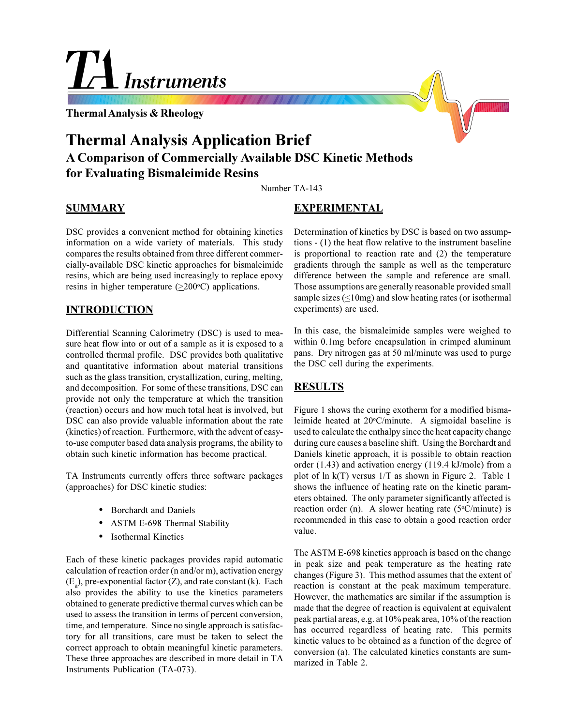# TH<sub>Instruments</sub>

**Thermal Analysis & Rheology**

# **Thermal Analysis Application Brief A Comparison of Commercially Available DSC Kinetic Methods for Evaluating Bismaleimide Resins**

Number TA-143

### **SUMMARY**

DSC provides a convenient method for obtaining kinetics information on a wide variety of materials. This study compares the results obtained from three different commercially-available DSC kinetic approaches for bismaleimide resins, which are being used increasingly to replace epoxy resins in higher temperature  $(\geq 200^{\circ}C)$  applications.

### **INTRODUCTION**

Differential Scanning Calorimetry (DSC) is used to measure heat flow into or out of a sample as it is exposed to a controlled thermal profile. DSC provides both qualitative and quantitative information about material transitions such as the glass transition, crystallization, curing, melting, and decomposition. For some of these transitions, DSC can provide not only the temperature at which the transition (reaction) occurs and how much total heat is involved, but DSC can also provide valuable information about the rate (kinetics) of reaction. Furthermore, with the advent of easyto-use computer based data analysis programs, the ability to obtain such kinetic information has become practical.

TA Instruments currently offers three software packages (approaches) for DSC kinetic studies:

- Borchardt and Daniels
- ASTM E-698 Thermal Stability
- Isothermal Kinetics

Each of these kinetic packages provides rapid automatic calculation of reaction order (n and/or m), activation energy  $(E_a)$ , pre-exponential factor (Z), and rate constant (k). Each also provides the ability to use the kinetics parameters obtained to generate predictive thermal curves which can be used to assess the transition in terms of percent conversion, time, and temperature. Since no single approach is satisfactory for all transitions, care must be taken to select the correct approach to obtain meaningful kinetic parameters. These three approaches are described in more detail in TA Instruments Publication (TA-073).

### **EXPERIMENTAL**

Determination of kinetics by DSC is based on two assumptions - (1) the heat flow relative to the instrument baseline is proportional to reaction rate and (2) the temperature gradients through the sample as well as the temperature difference between the sample and reference are small. Those assumptions are generally reasonable provided small sample sizes (<10mg) and slow heating rates (or isothermal experiments) are used.

In this case, the bismaleimide samples were weighed to within 0.1mg before encapsulation in crimped aluminum pans. Dry nitrogen gas at 50 ml/minute was used to purge the DSC cell during the experiments.

## **RESULTS**

Figure 1 shows the curing exotherm for a modified bismaleimide heated at 20°C/minute. A sigmoidal baseline is used to calculate the enthalpy since the heat capacity change during cure causes a baseline shift. Using the Borchardt and Daniels kinetic approach, it is possible to obtain reaction order (1.43) and activation energy (119.4 kJ/mole) from a plot of ln k(T) versus 1/T as shown in Figure 2. Table 1 shows the influence of heating rate on the kinetic parameters obtained. The only parameter significantly affected is reaction order (n). A slower heating rate  $(5^{\circ}C/m$ inute) is recommended in this case to obtain a good reaction order value.

The ASTM E-698 kinetics approach is based on the change in peak size and peak temperature as the heating rate changes (Figure 3). This method assumes that the extent of reaction is constant at the peak maximum temperature. However, the mathematics are similar if the assumption is made that the degree of reaction is equivalent at equivalent peak partial areas, e.g. at 10% peak area, 10% of the reaction has occurred regardless of heating rate. This permits kinetic values to be obtained as a function of the degree of conversion (a). The calculated kinetics constants are summarized in Table 2.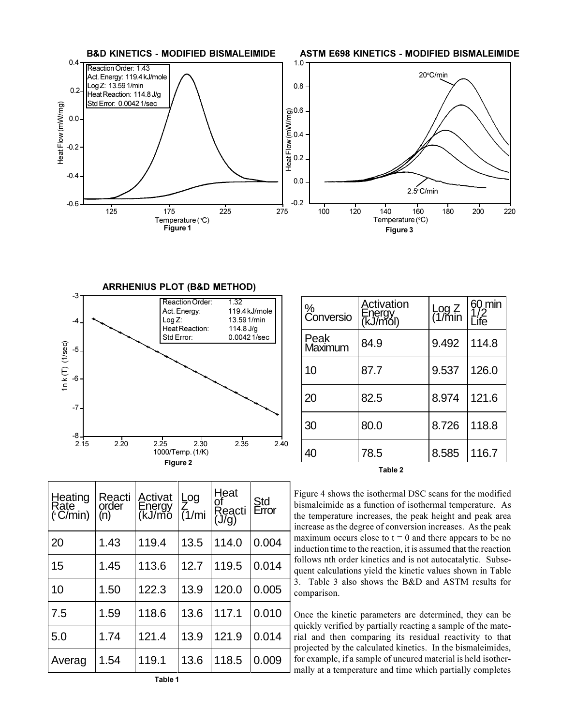



 $\mathbf{I}$ 

| %<br>Conversio  | Activation<br>Energy<br>(kJ/mol) | Log $Z$ 60 min<br>(1/min $1/2$<br>Life |       |  |
|-----------------|----------------------------------|----------------------------------------|-------|--|
| Peak<br>Maximum | 84.9                             | 9.492                                  | 114.8 |  |
| 10              | 87.7                             | 9.537                                  | 126.0 |  |
| 20              | 82.5                             | 8.974                                  | 121.6 |  |
| 30              | 80.0                             | 8.726                                  | 118.8 |  |
| 40 <sup>°</sup> | 78.5                             | 8.585                                  | 116.7 |  |
| Table 2         |                                  |                                        |       |  |

| Heating<br>Rate<br>(°C/min) | Reacti<br>order<br>(n) | Activat<br>Energy<br>(kJ/mo | Log<br>Z<br>$\overline{(1/mi)}$ | Heat<br>of<br>Reacti<br>(J/g) | Std<br>Error | Figu<br>bism<br>the t<br>incre |
|-----------------------------|------------------------|-----------------------------|---------------------------------|-------------------------------|--------------|--------------------------------|
| 20                          | 1.43                   | 119.4                       | 13.5                            | 114.0                         | 0.004        | maxi<br>indu                   |
| 15                          | 1.45                   | 113.6                       | 12.7                            | 119.5                         | 0.014        | follo<br>quen                  |
| 10                          | 1.50                   | 122.3                       | 13.9                            | 120.0                         | 0.005        | 3.7<br>com                     |
| 7.5                         | 1.59                   | 118.6                       | 13.6                            | 117.1                         | 0.010        | Once                           |
| 5.0                         | 1.74                   | 121.4                       | 13.9                            | 121.9                         | 0.014        | quicl<br>rial<br>proje         |
| Averag                      | 1.54                   | 119.1                       | 13.6                            | 118.5                         | 0.009        | for e<br>mally                 |

re 4 shows the isothermal DSC scans for the modified aleimide as a function of isothermal temperature. As emperature increases, the peak height and peak area ease as the degree of conversion increases. As the peak imum occurs close to  $t = 0$  and there appears to be no ction time to the reaction, it is assumed that the reaction ws nth order kinetics and is not autocatalytic. Subset calculations yield the kinetic values shown in Table Table 3 also shows the B&D and ASTM results for parison.

e the kinetic parameters are determined, they can be kly verified by partially reacting a sample of the mateand then comparing its residual reactivity to that ected by the calculated kinetics. In the bismaleimides, kample, if a sample of uncured material is held isotherly at a temperature and time which partially completes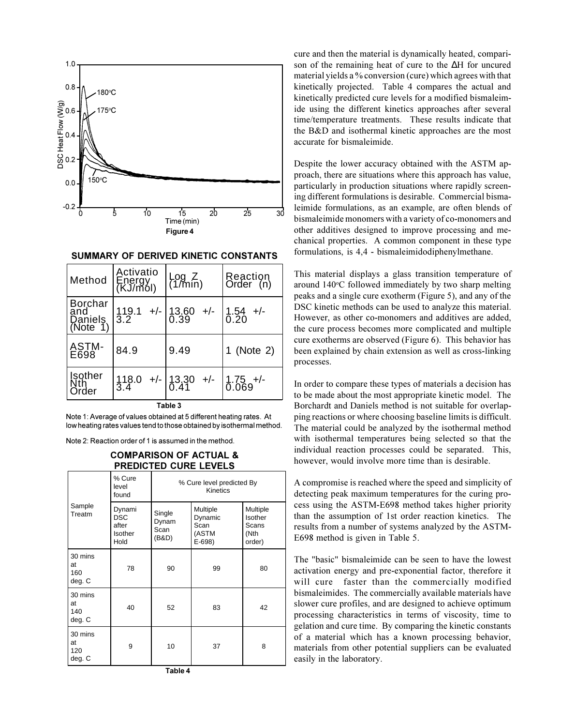

**SUMMARY OF DERIVED KINETIC CONSTANTS**

| Method                                       | Activatio<br>Energy<br>(KJ/mol) | $\begin{array}{c} \text{Log } Z \\ \text{(1/min)} \end{array}$ | Reaction<br>Order (n) |  |
|----------------------------------------------|---------------------------------|----------------------------------------------------------------|-----------------------|--|
| <b>Borchar</b><br>and<br>Daniels<br>(Note 1) |                                 | $119.1$ +/- $13.60$ +/- $1.54$ +/-<br>3.2 $0.39$ +/- $0.20$    |                       |  |
| ASTM-<br>E698                                | 84.9                            | 9.49                                                           | 1 (Note 2)            |  |
| <b>Isother</b><br>Nth<br>Order               |                                 | $118.0$ +/- $13.30$ +/- $1.75$ +/-<br>3.4 0.41 0.069           |                       |  |
| Table 3                                      |                                 |                                                                |                       |  |

Note 1: Average of values obtained at 5 different heating rates. At low heating rates values tend to those obtained by isothermal method.

Note 2: Reaction order of 1 is assumed in the method.

#### **COMPARISON OF ACTUAL & PREDICTED CURE LEVELS**

|                                |                                                  | ----------                            |                                                 |                                                |
|--------------------------------|--------------------------------------------------|---------------------------------------|-------------------------------------------------|------------------------------------------------|
|                                | % Cure<br>level<br>found                         | % Cure level predicted By<br>Kinetics |                                                 |                                                |
| Sample<br>Treatm               | Dynami<br><b>DSC</b><br>after<br>Isother<br>Hold | Single<br>Dynam<br>Scan<br>(B&D)      | Multiple<br>Dynamic<br>Scan<br>(ASTM<br>$E-698$ | Multiple<br>Isother<br>Scans<br>(Nth<br>order) |
| 30 mins<br>at<br>160<br>deg. C | 78                                               | 90                                    | 99                                              | 80                                             |
| 30 mins<br>at<br>140<br>deg. C | 40                                               | 52                                    | 83                                              | 42                                             |
| 30 mins<br>at<br>120<br>deg. C | 9                                                | 10                                    | 37                                              | 8                                              |

cure and then the material is dynamically heated, comparison of the remaining heat of cure to the ∆H for uncured material yields a % conversion (cure) which agrees with that kinetically projected. Table 4 compares the actual and kinetically predicted cure levels for a modified bismaleimide using the different kinetics approaches after several time/temperature treatments. These results indicate that the B&D and isothermal kinetic approaches are the most accurate for bismaleimide.

Despite the lower accuracy obtained with the ASTM approach, there are situations where this approach has value, particularly in production situations where rapidly screening different formulations is desirable. Commercial bismaleimide formulations, as an example, are often blends of bismaleimide monomers with a variety of co-monomers and other additives designed to improve processing and mechanical properties. A common component in these type formulations, is 4,4 - bismaleimidodiphenylmethane.

This material displays a glass transition temperature of around 140°C followed immediately by two sharp melting peaks and a single cure exotherm (Figure 5), and any of the DSC kinetic methods can be used to analyze this material. However, as other co-monomers and additives are added, the cure process becomes more complicated and multiple cure exotherms are observed (Figure 6). This behavior has been explained by chain extension as well as cross-linking processes.

In order to compare these types of materials a decision has to be made about the most appropriate kinetic model. The Borchardt and Daniels method is not suitable for overlapping reactions or where choosing baseline limits is difficult. The material could be analyzed by the isothermal method with isothermal temperatures being selected so that the individual reaction processes could be separated. This, however, would involve more time than is desirable.

A compromise is reached where the speed and simplicity of detecting peak maximum temperatures for the curing process using the ASTM-E698 method takes higher priority than the assumption of 1st order reaction kinetics. The results from a number of systems analyzed by the ASTM-E698 method is given in Table 5.

The "basic" bismaleimide can be seen to have the lowest activation energy and pre-exponential factor, therefore it will cure faster than the commercially modified bismaleimides. The commercially available materials have slower cure profiles, and are designed to achieve optimum processing characteristics in terms of viscosity, time to gelation and cure time. By comparing the kinetic constants of a material which has a known processing behavior, materials from other potential suppliers can be evaluated easily in the laboratory.